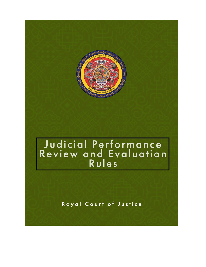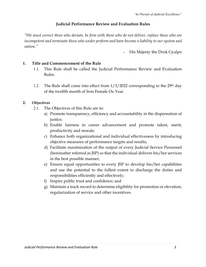# **Judicial Performance Review and Evaluation Rules**

*"We must correct those who deviate, be firm with those who do not deliver, replace those who are incompetent and terminate those who under perform and have become a liability to our system and nation."*

- His Majesty the Druk Gyalpo

### **1. Title and Commencement of the Rule**

- 1.1. This Rule shall be called the Judicial Performance Review and Evaluation Rules.
- 1.2. The Rule shall come into effect from  $1/3/2022$  corresponding to the 29<sup>th</sup> day of the twelfth month of Iron Female Ox Year.

### **2. Objectives**

- 2.1. The Objectives of this Rule are to:
	- a) Promote transparency, efficiency and accountability in the dispensation of justice;
	- b) Enable fairness in career advancement and promote talent, merit, productivity and morale;
	- c) Enhance both organizational and individual effectiveness by introducing objective measures of performance targets and results;
	- d) Facilitate maximization of the output of every Judicial Service Personnel (hereinafter referred as JSP) so that the individual delivers his/her services in the best possible manner;
	- e) Ensure equal opportunities to every JSP to develop his/her capabilities and use the potential to the fullest extent to discharge the duties and responsibilities efficiently and effectively;
	- f) Inspire public trust and confidence; and
	- g) Maintain a track record to determine eligibility for promotion or elevation, regularization of service and other incentives.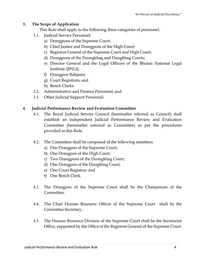# **3. The Scope of Application**

This Rule shall apply to the following three categories of personnel:

- 3.1. Judicial Service Personnel:
	- a) Drangpons of the Supreme Court;
	- b) Chief Justice and Drangpons of the High Court;
	- c) Registrar General of the Supreme Court and High Court;
	- d) Drangpons of the Dzongkhag and Dungkhag Courts;
	- e) Director General and the Legal Officers of the Bhutan National Legal Institute (BNLI);
	- f) Drangpon Rabjams;
	- g) Court Registrars; and
	- h) Bench Clerks.
- 3.2. Administrative and Finance Personnel; and
- 3.3. Other Judicial Support Personnel.

# **4. Judicial Performance Review and Evaluation Committee**

- 4.1. The Royal Judicial Service Council (hereinafter referred as Council) shall establish an independent Judicial Performance Review and Evaluation Committee (hereinafter referred as Committee) as per the procedures provided in this Rule.
- 4.2. The Committee shall be composed of the following members:
	- a) One Drangpon of the Supreme Court;
	- b) One Drangpon of the High Court;
	- c) Two Drangpons of the Dzongkhag Court;
	- d) One Drangpon of the Dungkhag Court;
	- e) One Court Registrar; and
	- f) One Bench Clerk.
- 4.3. The Drangpon of the Supreme Court shall be the Chairperson of the Committee.
- 4.4. The Chief Human Resource Officer of the Supreme Court shall be the Committee Secretary.
- 4.5. The Human Resource Division of the Supreme Court shall be the Secretariat Office, supported by the Office of the Registrar General of the Supreme Court.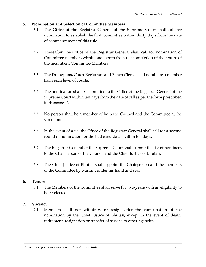# **5. Nomination and Selection of Committee Members**

- 5.1. The Office of the Registrar General of the Supreme Court shall call for nomination to establish the first Committee within thirty days from the date of commencement of this rule.
- 5.2. Thereafter, the Office of the Registrar General shall call for nomination of Committee members within one month from the completion of the tenure of the incumbent Committee Members.
- 5.3. The Drangpons, Court Registrars and Bench Clerks shall nominate a member from each level of courts.
- 5.4. The nomination shall be submitted to the Office of the Registrar General of the Supreme Court within ten days from the date of call as per the form prescribed in *Annexure I*.
- 5.5. No person shall be a member of both the Council and the Committee at the same time.
- 5.6. In the event of a tie, the Office of the Registrar General shall call for a second round of nomination for the tied candidates within ten days.
- 5.7. The Registrar General of the Supreme Court shall submit the list of nominees to the Chairperson of the Council and the Chief Justice of Bhutan.
- 5.8. The Chief Justice of Bhutan shall appoint the Chairperson and the members of the Committee by warrant under his hand and seal.

### **6. Tenure**

6.1. The Members of the Committee shall serve for two-years with an eligibility to be re-elected.

# **7. Vacancy**

7.1. Members shall not withdraw or resign after the confirmation of the nomination by the Chief Justice of Bhutan, except in the event of death, retirement, resignation or transfer of service to other agencies.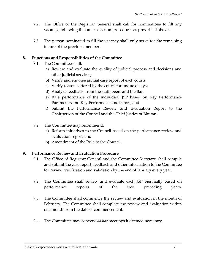- 7.2. The Office of the Registrar General shall call for nominations to fill any vacancy, following the same selection procedures as prescribed above.
- 7.3. The person nominated to fill the vacancy shall only serve for the remaining tenure of the previous member.

### **8. Functions and Responsibilities of the Committee**

- 8.1. The Committee shall:
	- a) Review and evaluate the quality of judicial process and decisions and other judicial services;
	- b) Verify and endorse annual case report of each courts;
	- c) Verify reasons offered by the courts for undue delays;
	- d) Analyze feedback from the staff, peers and the Bar;
	- e) Rate performance of the individual JSP based on Key Performance Parameters and Key Performance Indicators; and
	- f) Submit the Performance Review and Evaluation Report to the Chairperson of the Council and the Chief Justice of Bhutan.
- 8.2. The Committee may recommend:
	- a) Reform initiatives to the Council based on the performance review and evaluation report; and
	- b) Amendment of the Rule to the Council.

### **9. Performance Review and Evaluation Procedure**

- 9.1. The Office of Registrar General and the Committee Secretary shall compile and submit the case report, feedback and other information to the Committee for review, verification and validation by the end of January every year.
- 9.2. The Committee shall review and evaluate each JSP biennially based on performance reports of the two preceding years.
- 9.3. The Committee shall commence the review and evaluation in the month of February. The Committee shall complete the review and evaluation within one month from the date of commencement.
- 9.4. The Committee may convene *ad hoc* meetings if deemed necessary.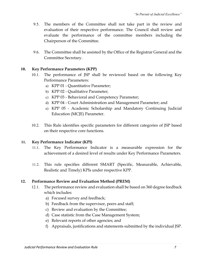- 9.5. The members of the Committee shall not take part in the review and evaluation of their respective performance. The Council shall review and evaluate the performance of the committee members including the Chairperson of the Committee.
- 9.6. The Committee shall be assisted by the Office of the Registrar General and the Committee Secretary.

### **10. Key Performance Parameters (KPP)**

- 10.1. The performance of JSP shall be reviewed based on the following Key Performance Parameters:
	- a) KPP 01 Quantitative Parameter;
	- b) KPP 02 Qualitative Parameter;
	- c) KPP 03 Behavioral and Competency Parameter;
	- d) KPP 04 Court Administration and Management Parameter; and
	- e) KPP 05 Academic Scholarship and Mandatory Continuing Judicial Education (MCJE) Parameter.
- 10.2. This Rule identifies specific parameters for different categories of JSP based on their respective core functions.

# **11. Key Performance Indicator (KPI)**

- 11.1. The Key Performance Indicator is a measurable expression for the achievement of a desired level of results under Key Performance Parameters.
- 11.2. This rule specifies different SMART (Specific, Measurable, Achievable, Realistic and Timely) KPIs under respective KPP.

# **12. Performance Review and Evaluation Method (PREM)**

- 12.1. The performance review and evaluation shall be based on 360 degree feedback which includes:
	- a) Focused survey and feedback;
	- b) Feedback from the supervisor, peers and staff;
	- c) Review and evaluation by the Committee;
	- d) Case statistic from the Case Management System;
	- e) Relevant reports of other agencies; and
	- f) Appraisals, justifications and statements submitted by the individual JSP.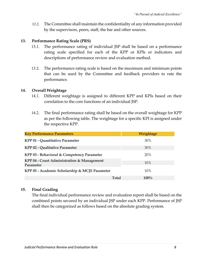12.2. The Committee shall maintain the confidentiality of any information provided by the supervisors, peers, staff, the bar and other sources.

### **13. Performance Rating Scale (PRS)**

- 13.1. The performance rating of individual JSP shall be based on a performance rating scale specified for each of the KPP or KPIs or indicators and descriptions of performance review and evaluation method.
- 13.2. The performance rating scale is based on the maximum and minimum points that can be used by the Committee and feedback providers to rate the performance.

### **14. Overall Weightage**

- 14.1. Different weightage is assigned to different KPP and KPIs based on their correlation to the core functions of an individual JSP.
- 14.2. The final performance rating shall be based on the overall weightage for KPP as per the following table. The weightage for a specific KPI is assigned under the respective KPP.

| <b>Key Performance Parameters</b>                       | Weightage |
|---------------------------------------------------------|-----------|
| KPP 01 - Quantitative Parameter                         | 30%       |
| <b>KPP 02 - Qualitative Parameter</b>                   | 30%       |
| KPP 03 - Behavioral & Competency Parameter              | 20%       |
| KPP 04 - Court Administration & Management<br>Parameter | 10%       |
| KPP 05 - Academic Scholarship & MCJE Parameter          | 10%       |
| <b>Total</b>                                            | $100\%$   |

# **15. Final Grading**

The final individual performance review and evaluation report shall be based on the combined points secured by an individual JSP under each KPP. Performance of JSP shall then be categorized as follows based on the absolute grading system.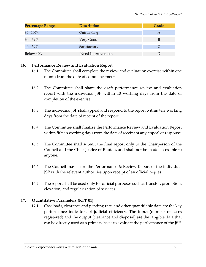| <b>Percentage Range</b> | <b>Description</b> | Grade |
|-------------------------|--------------------|-------|
| $80 - 100\%$            | Outstanding        |       |
| 60 - 79%                | Very Good          | B     |
| $40 - 59\%$             | Satisfactory       |       |
| Below 40%               | Need Improvement   |       |

### **16. Performance Review and Evaluation Report**

- 16.1. The Committee shall complete the review and evaluation exercise within one month from the date of commencement.
- 16.2. The Committee shall share the draft performance review and evaluation report with the individual JSP within 10 working days from the date of completion of the exercise.
- 16.3. The individual JSP shall appeal and respond to the report within ten working days from the date of receipt of the report.
- 16.4. The Committee shall finalize the Performance Review and Evaluation Report within fifteen working days from the date of receipt of any appeal or response.
- 16.5. The Committee shall submit the final report only to the Chairperson of the Council and the Chief Justice of Bhutan, and shall not be made accessible to anyone.
- 16.6. The Council may share the Performance & Review Report of the individual JSP with the relevant authorities upon receipt of an official request.
- 16.7. The report shall be used only for official purposes such as transfer, promotion, elevation, and regularization of services.

# **17. Quantitative Parameters (KPP 01)**

17.1. Caseloads, clearance and pending rate, and other quantifiable data are the key performance indicators of judicial efficiency. The input (number of cases registered) and the output (clearance and disposal) are the tangible data that can be directly used as a primary basis to evaluate the performance of the JSP.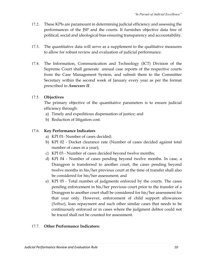- 17.2. These KPIs are paramount in determining judicial efficiency and assessing the performances of the JSP and the courts. It furnishes objective data free of political, social and ideological bias ensuring transparency and accountability.
- 17.3. The quantitative data will serve as a supplement to the qualitative measures to allow for robust review and evaluation of judicial performance.
- 17.4. The Information, Communication and Technology (ICT) Division of the Supreme Court shall generate annual case reports of the respective courts from the Case Management System, and submit them to the Committee Secretary within the second week of January every year as per the format prescribed in *Annexure II*.

# 17.5. **Objectives**

The primary objective of the quantitative parameters is to ensure judicial efficiency through:

- a) Timely and expeditious dispensation of justice; and
- b) Reduction of litigation cost.

# 17.6. **Key Performance Indicators**

- a) KPI 01- Number of cases decided;
- b) KPI 02 Docket clearance rate (Number of cases decided against total number of cases in a year);
- c) KPI 03 Number of cases decided beyond twelve months;
- d) KPI 04 Number of cases pending beyond twelve months. In case, a Drangpon is transferred to another court, the cases pending beyond twelve months in his/her previous court at the time of transfer shall also be considered for his/her assessment; and
- e) KPI 05 Total number of judgments enforced by the courts. The cases pending enforcement in his/her previous court prior to the transfer of a Drangpon to another court shall be considered for his/her assessment for that year only. However, enforcement of child support allowances (*Sothue*), loan repayment and such other similar cases that needs to be continuously enforced or in cases where the judgment debtor could not be traced shall not be counted for assessment.

# 17.7. **Other Performance Indicators:**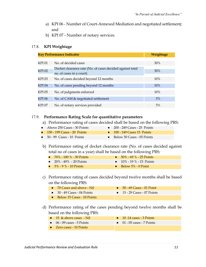- a) KPI 06 Number of Court-Annexed Mediation and negotiated settlement*;*  and
- b) KPI 07 Number of notary services.

#### 17.8. **KPI Weightage**

|               | <b>Key Performance Indicator</b>                                                      |     |  |  |  |  |
|---------------|---------------------------------------------------------------------------------------|-----|--|--|--|--|
| KPI 01        | No. of decided cases                                                                  | 30% |  |  |  |  |
| <b>KPI 02</b> | Docket clearance rate (No. of cases decided against total<br>no. of cases in a court) | 30% |  |  |  |  |
| KPI 03        | No. of cases decided beyond 12 months                                                 | 10% |  |  |  |  |
| <b>KPI 04</b> | No. of cases pending beyond 12 months                                                 | 10% |  |  |  |  |
| KPI 05        | No. of judgments enforced                                                             | 10% |  |  |  |  |
| KPI 06        | No. of CAM & negotiated settlement                                                    | 5%  |  |  |  |  |
| KPI 07        | No. of notary services provided                                                       | 5%  |  |  |  |  |

### 17.9. **Performance Rating Scale for quantitative parameters**

a) Performance rating of cases decided shall be based on the following PRS:

| • Above $250$ Cases - $30$ Points     | $\bullet$ 200 - 249 Cases - 25 Points |
|---------------------------------------|---------------------------------------|
| $\bullet$ 150 - 199 Cases - 20 Points | $\bullet$ 100 - 149 Cases 15 Points   |
| $\bullet$ 50 - 99 Cases - 10 Points   | $\bullet$ Below 50 Cases - 05 Points  |

b) Performance rating of docket clearance rate (No. of cases decided against total no of cases in a year) shall be based on the following PRS:

| • $70\%$ - 100 $\%$ - 30 Points | • $50\%$ - 69 $\%$ - 25 Points |
|---------------------------------|--------------------------------|
| • $20\% - 49\% - 20$ Points     | • $10\%$ - 19 $\%$ - 15 Points |
| $\bullet$ 5% - 9% - 10 Points   | $\bullet$ Below 5% - 0 Point   |

c) Performance rating of cases decided beyond twelve months shall be based on the following PRS:

| $\bullet$ 70 Cases and above - Nil   | $\bullet$ 50 - 69 Cases - 01 Point  |
|--------------------------------------|-------------------------------------|
| $\bullet$ 30 - 49 Cases - 04 Points  | $\bullet$ 15 - 29 Cases - 07 Points |
| $\bullet$ Below 15 Cases - 10 Points |                                     |

d) Performance rating of the cases pending beyond twelve months shall be based on the following PRS:

| $\bullet$ 15 & above cases - Nil   | $\bullet$ 10 -14 cases - 3 Points  |
|------------------------------------|------------------------------------|
| $\bullet$ 06 - 09 cases - 5 Points | $\bullet$ 01 - 05 cases - 7 Points |
| $\bullet$ Zero cases - 10 Points   |                                    |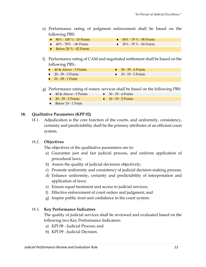e) Performance rating of judgment enforcement shall be based on the following PRS:

| • $80\%$ - 100 $\%$ - 10 Points | • $60\%$ - 79 $\%$ - 08 Points |
|---------------------------------|--------------------------------|
| $\bullet$ 40% - 59% - 06 Points | • $20\%$ - 39 % - 04 Points    |
| • Below 20 $\%$ - 02 Points     |                                |

- f) Performance rating of CAM and negotiated settlement shall be based on the following PRS.:
	- $\bullet$  40 & Above 5 Points  $\bullet$  30 39 4 Points
	- $\bullet$  20 29 3 Points  $\bullet$  10 19 2 Points
	- $\bullet$  01 09 1 Point
- g) Performance rating of notary services shall be based on the following PRS:
	- 40 & Above 5 Points 30 39 4 Points
		- 20 29 3 Points 10 19 2 Points
	- Below 10 1 Point

#### **18. Qualitative Parameters (KPP 02)**

18.1. Adjudication is the core function of the courts, and uniformity, consistency, certainty and predictability shall be the primary attributes of an efficient court system.

#### 18.2. **Objectives**

The objectives of the qualitative parameters are to:

- a) Guarantee just and fair judicial process, and uniform application of procedural laws;
- b) Assess the quality of judicial decisions objectively;
- c) Promote uniformity and consistency of judicial decision-making process;
- d) Enhance uniformity, certainty and predictability of interpretation and application of laws;
- e) Ensure equal treatment and access to judicial services;
- f) Effective enforcement of court orders and judgment; and
- g) Inspire public trust and confidence in the court system.

#### 18.3. **Key Performance Indicators**

The quality of judicial services shall be reviewed and evaluated based on the following two Key Performance Indicators:

- a) KPI 08 Judicial Process; and
- b) KPI 09 Judicial Decision.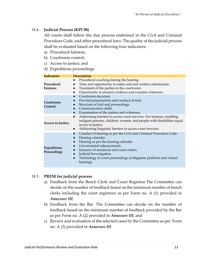### 18.4. **Judicial Process (KPI 08)**

All courts shall follow the due process enshrined in the Civil and Criminal Procedure Code, and other procedural laws. The quality of the judicial process shall be evaluated based on the following four indicators:

- a) Procedural fairness;
- b) Courtroom control;
- c) Access to justice; and
- d) Expeditious proceedings.

| <b>Indicators</b>                 | <b>Description</b>                                                                                                                                                                                                                                                                                                |
|-----------------------------------|-------------------------------------------------------------------------------------------------------------------------------------------------------------------------------------------------------------------------------------------------------------------------------------------------------------------|
| Procedural<br><b>Fairness</b>     | Procedural coaching during the hearing.<br>$\bullet$<br>Time and opportunity to make oral and written submissions.<br>Treatment of the parties in the courtroom.<br>Opportunity to present evidence and examine witnesses.                                                                                        |
| Courtroom<br><b>Control</b>       | Courtroom decorum.<br>$\bullet$<br>Pre-trial preparations and conduct of trial.<br>Structure of trial and proceedings.<br>Communication skills.<br>Examination of the parties and witnesses.                                                                                                                      |
| <b>Access to Justice</b>          | Addressing barriers to access court services. For instance, enabling<br>$\bullet$<br>indigent persons, children, women, and people with disabilities equal<br>access to justice.<br>Addressing linguistic barriers to access court services.<br>$\bullet$                                                         |
| <b>Expeditious</b><br>Proceedings | Conduct of hearing as per the Civil and Criminal Procedure Code.<br>Hearing calendar.<br>Hearing as per the hearing calendar.<br>Unwarranted adjournments.<br>Issuance of summons and court orders.<br>Judicial Investigation.<br>Technology in court proceedings (e-litigation platform and virtual<br>hearing). |

### 18.5. **PREM for judicial process**

- a) Feedback from the Bench Clerk and Court Registrar.The Committee can decide on the number of feedback based on the minimum number of bench clerks including the court registrars as per Form no. A (1) provided in *Annexure III*;
- b) Feedback from the Bar. The Committee can decide on the number of feedback based on the minimum number of feedback provided by the Bar as per Form no. A (2) provided in *Annexure III*; and
- c) Review and evaluation of the selected cases by the Committee as per Form no. A (3) provided in *Annexure III*.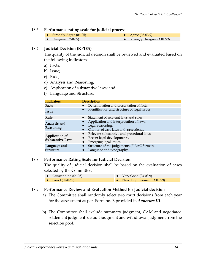#### 18.6. **Performance rating scale for judicial process**

- Strongly Agree (04-05) Agree (03-03.9) ● Disagree (02-02.9) ● Strongly Disagree (≤ 01.99)
- 

18.7. **Judicial Decision (KPI 09)**

The quality of the judicial decision shall be reviewed and evaluated based on the following indicators:

- a) Facts;
- b) Issue;
- c) Rule;
- d) Analysis and Reasoning;
- e) Application of substantive laws; and
- f) Language and Structure.

| <b>Indicators</b>                         | <b>Description</b>                                                                                                                       |
|-------------------------------------------|------------------------------------------------------------------------------------------------------------------------------------------|
| Facts                                     | Determination and presentation of facts.<br>$\bullet$                                                                                    |
| Issue                                     | Identification and structure of legal issues.<br>$\bullet$                                                                               |
| Rule                                      | Statement of relevant laws and rules.<br>$\bullet$                                                                                       |
| Analysis and<br>Reasoning                 | Application and interpretation of laws.<br>Legal reasoning.<br>Citation of case laws and precedents.                                     |
| Application of<br><b>Substantive Laws</b> | Relevant substantive and procedural laws.<br>$\bullet$<br>Recent legal developments.<br>$\bullet$<br>Emerging legal issues.<br>$\bullet$ |
| Language and<br><b>Structure</b>          | Structure of the judgements (FIRAC format).<br>Language and typography.<br>$\bullet$                                                     |

### 18.8. **Performance Rating Scale for Judicial Decision**

**T**he quality of judicial decision shall be based on the evaluation of cases selected by the Committee.

● Outstanding (04-05) ● Very Good (03-03.9) • Good  $(02-02.9)$  **•** Need Improvement  $(≤ 01.99)$ 

### 18.9. **Performance Review and Evaluation Method for judicial decision**

- a) The Committee shall randomly select two court decisions from each year for the assessment as per Form no. B provided in *Annexure III*.
- b) The Committee shall exclude summary judgment, CAM and negotiated settlement judgment, default judgment and withdrawal judgment from the selection pool.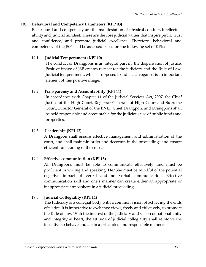# **19. Behavioral and Competency Parameters (KPP 03)**

Beharioural and competency are the manifestation of physical conduct, intellectual ability and judicial mindset. These are the core judicial values that inspire public trust and confidence, and promote judicial excellence. Therefore, behavioral and competency of the JSP shall be assessed based on the following set of KPIs:

# 19.1. **Judicial Temperament (KPI 10)**

The conduct of Drangpons is an integral part in the dispensation of justice. Positive image of JSP creates respect for the judiciary and the Rule of Law. Judicial temperament, which is opposed to judicial arrogance, is an important element of this positive image.

# 19.2. **Transparency and Accountability (KPI 11)**

In accordance with Chapter 11 of the Judicial Services Act, 2007, the Chief Justice of the High Court, Registrar Generals of High Court and Supreme Court, Director General of the BNLI, Chief Drangpon, and Drangpons shall be held responsible and accountable for the judicious use of public funds and properties.

# 19.3. **Leadership (KPI 12)**

A Drangpon shall ensure effective management and administration of the court, and shall maintain order and decorum in the proceedings and ensure efficient functioning of the court.

# 19.4. **Effective communication (KPI 13)**

All Drangpons must be able to communicate effectively, and must be proficient in writing and speaking. He/She must be mindful of the potential negative impact of verbal and non-verbal communication. Effective communication skill and one's manner can create either an appropriate or inappropriate atmosphere in a judicial proceeding*.*

# 19.5. **Judicial Collegiality (KPI 14)**

The Judiciary is a collegial body with a common vision of achieving the ends of justice. It is imperative to exchange views, freely and effectively, to promote the Rule of law. With the interest of the judiciary and vision of national unity and integrity at heart, the attitude of judicial collegiality shall reinforce the incentive to behave and act in a principled and responsible manner*.*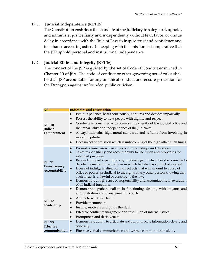# 19.6. **Judicial Independence (KPI 15)**

The Constitution enshrines the mandate of the Judiciary to safeguard, uphold, and administer justice fairly and independently without fear, favor, or undue delay in accordance with the Rule of Law to inspire trust and confidence and to enhance access to Justice. In keeping with this mission, it is imperative that the JSP uphold personal and institutional independence.

# 19.7. **Judicial Ethics and Integrity (KPI 16)**

The conduct of the JSP is guided by the set of Code of Conduct enshrined in Chapter 10 of JSA. The code of conduct or other governing set of rules shall hold all JSP accountable for any unethical conduct and ensure protection for the Drangpon against unfounded public criticism.

| KPI                                                          | <b>Indicators and Description</b>                                                                                                                                                                                                                                                                                                                                                                                                                                                                                                                                                                                                                      |
|--------------------------------------------------------------|--------------------------------------------------------------------------------------------------------------------------------------------------------------------------------------------------------------------------------------------------------------------------------------------------------------------------------------------------------------------------------------------------------------------------------------------------------------------------------------------------------------------------------------------------------------------------------------------------------------------------------------------------------|
| <b>KPI 10</b><br>Judicial<br>Temperament                     | Exhibits patience, hears courteously, enquires and decides impartially.<br>Possess the ability to treat people with dignity and respect.<br>Conducts in a manner as to preserve the dignity of the judicial office and<br>$\bullet$<br>the impartiality and independence of the Judiciary.<br>Always maintains high moral standards and refrains from involving in<br>$\bullet$<br>moral turpitude.<br>Does no act or omission which is unbecoming of the high office at all times.<br>$\bullet$                                                                                                                                                       |
| <b>KPI 11</b><br>Transparency<br>Accountability              | Promotes transparency in all judicial proceedings and decisions.<br>Takes responsibility and accountability to use funds and properties for<br>intended purposes.<br>Recuse from participating in any proceedings in which he/she is unable to<br>decide the matter impartially or in which he/she has conflict of interest.<br>Does not indulge in direct or indirect acts that will amount to abuse of<br>office or power, prejudicial to the rights of any other person knowing that<br>such an act is unlawful or contrary to the law.<br>Demonstrate a high sense of responsibility and accountability in execution<br>of all judicial functions. |
| <b>KPI 12</b><br>Leadership                                  | Demonstrate professionalism in functioning, dealing with litigants and<br>$\bullet$<br>administration and management of courts.<br>Ability to work as a team.<br>$\bullet$<br>Provide mentorship.<br>Inspire, motivate and guide the staff.<br>Effective conflict management and resolution of internal issues.<br>Promptness and decisiveness.<br>$\bullet$                                                                                                                                                                                                                                                                                           |
| <b>KPI 13</b><br><b>Effective</b><br>communication $\bullet$ | Demonstrate ability to articulate and communicate information clearly and<br>$\bullet$<br>concisely.<br>Effective verbal communication and written communication skills.                                                                                                                                                                                                                                                                                                                                                                                                                                                                               |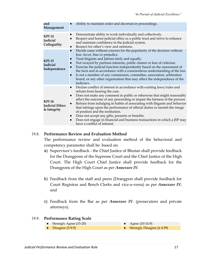| and<br>Management                                      | Ability to maintain order and decorum in proceedings.                                                                                                                                                                                                                                                                                                                                                                                                                                                                                                                                                                                                                                                 |
|--------------------------------------------------------|-------------------------------------------------------------------------------------------------------------------------------------------------------------------------------------------------------------------------------------------------------------------------------------------------------------------------------------------------------------------------------------------------------------------------------------------------------------------------------------------------------------------------------------------------------------------------------------------------------------------------------------------------------------------------------------------------------|
| <b>KPI 14</b><br>Judicial<br>Collegiality              | Demonstrate ability to work individually and collectively.<br>$\bullet$<br>Respect and honor judicial office as a public trust and strive to enhance<br>and maintain confidence in the judicial system.<br>Respect for other's view and opinions.                                                                                                                                                                                                                                                                                                                                                                                                                                                     |
| <b>KPI 15</b><br>Judicial<br>Independence              | Decide cases without concern for the popularity of the decision without<br>$\bullet$<br>fear, favor, bias or prejudice.<br>Treat litigants and Jabmis fairly and equally.<br>$\bullet$<br>Not swayed by partisan interests, public clamor or fear of criticism.<br>Exercise the judicial function independently based on the assessment of<br>$\bullet$<br>the facts and in accordance with a conscientious understanding of the law.<br>Is not a member of any commission, committee, association, arbitration<br>$\bullet$<br>board, or any other organization that may affect the independence of the<br>Judiciary.                                                                                |
| <b>KPI 16</b><br><b>Judicial Ethics</b><br>& Integrity | Declare conflict of interest in accordance with existing laws/rules and<br>$\bullet$<br>refrain from hearing the case.<br>Does not make any comment in public or otherwise that might reasonably<br>$\bullet$<br>affect the outcome of any proceeding or impair the fairness of the process.<br>Refrain from indulging in habits of associating with litigants and behavior<br>$\bullet$<br>that infringe upon the performance of official duties or tarnish the image<br>of position and the institution.<br>Does not accept any gifts, presents or benefits.<br>$\bullet$<br>Does not engage in financial and business transactions in which a JSP may<br>$\bullet$<br>have a conflict of interest. |

#### 19.8. **Performance Review and Evaluation Method**

The performance review and evaluation method of the behavioral and competency parameter shall be based on:

- a) Supervisor's feedback the Chief Justice of Bhutan shall provide feedback for the Drangpons of the Supreme Court and the Chief Justice of the High Court. The High Court Chief Justice shall provide feedback for the Drangpons of the High Court as per *Annexure IV.*
- b) Feedback from the staff and peers (Drangpon shall provide feedback for Court Registrar and Bench Clerks and vice-a-versa) as per *Annexure IV*; and
- c) Feedback from the Bar as per *Annexure IV*. (prosecutors and private attorneys).

#### 19.9. **Performance Rating Scale**

● Strongly Agree (15-20) ● Agree (10-14.9) ● Disagree (5-9.9) ● Strongly Disagree (≤ 4.99)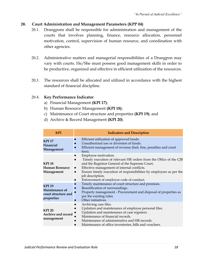# **20. Court Administration and Management Parameters (KPP 04)**

- 20.1. Drangpons shall be responsible for administration and management of the courts that involves planning, finance, resource allocation, personnel motivation, control, supervision of human resource, and coordination with other agencies.
- 20.2. Administrative matters and managerial responsibilities of a Drangpon may vary with courts. He/She must possess good management skills in order to be productive, organized and effective in efficient utilization of the resources.
- 20.3. The resources shall be allocated and utilized in accordance with the highest standard of financial discipline.

### 20.4. **Key Performance Indicator**

- a) Financial Management **(KPI 17)**;
- b) Human Resource Management **(KPI 18)**;
- c) Maintenance of Court structure and properties **(KPI 19)**; and
- d) Archive & Record Management **(KPI 20)**.

| <b>KPI</b>                                                           | <b>Indicators and Description</b>                                                                                                                                                                                                                                                                                                               |
|----------------------------------------------------------------------|-------------------------------------------------------------------------------------------------------------------------------------------------------------------------------------------------------------------------------------------------------------------------------------------------------------------------------------------------|
| <b>KPI 17</b><br>Financial<br>Management                             | Efficient utilization of approved funds.<br>Unauthorized use or diversion of funds.<br>Efficient management of revenue (bail, fine, penalties and court<br>fees).                                                                                                                                                                               |
| <b>KPI 18</b><br><b>Human Resource</b><br>Management                 | Employee motivation.<br>$\bullet$<br>Timely execution of relevant HR orders from the Office of the CJB<br>and the Registrar General of the Supreme Court.<br>Effective management of internal conflicts.<br>Ensure timely execution of responsibilities by employees as per the<br>job description.<br>Enforcement of employee code of conduct. |
| <b>KPI 19</b><br>Maintenance of<br>court structure and<br>properties | Timely maintenance of court structure and premises.<br>Beautification of surroundings.<br>Property management - Procurement and disposal of properties as<br>per the existing rules.<br>Other initiatives.                                                                                                                                      |
| <b>KPI 20</b><br>Archive and record<br>management                    | Archiving case files.<br>Updation and maintenance of employee personal files.<br>Updation and maintenance of case registers.<br>Maintenance of financial records.<br>Maintenance of administrative and HR records.<br>Maintenance of office inventories, bills and vouchers.                                                                    |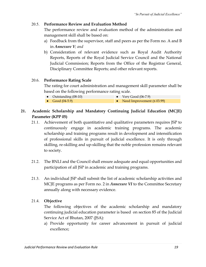# 20.5. **Performance Review and Evaluation Method**

The performance review and evaluation method of the administration and management skill shall be based on:

- a) Feedback from the supervisor, staff and peers as per the Form no. A and B in *Annexure V; and*
- b) Consideration of relevant evidence such as Royal Audit Authority Reports, Reports of the Royal Judicial Service Council and the National Judicial Commission; Reports from the Office of the Registrar General, Disciplinary Committee Reports; and other relevant reports.

# 20.6. **Performance Rating Scale**

The rating for court administration and management skill parameter shall be based on the following performance rating scale.

- Outstanding (08-10) Very Good (06-7.9)
- Good  $(04-5.9)$  Need Improvement  $(503.99)$

# **21. Academic Scholarship and Mandatory Continuing Judicial Education (MCJE) Parameter (KPP 05)**

- 21.1. Achievement of both quantitative and qualitative parameters requires JSP to continuously engage in academic training programs. The academic scholarship and training programs result in development and intensification of professional skills in pursuit of judicial excellence. It is only through skilling, re-skilling and up-skilling that the noble profession remains relevant to society.
- 21.2. The BNLI and the Council shall ensure adequate and equal opportunities and participation of all JSP in academic and training programs.
- 21.3. An individual JSP shall submit the list of academic scholarship activities and MCJE programs as per Form no. 2 in *Annexure VI* to the Committee Secretary annually along with necessary evidence.

# 21.4. **Objective**

The following objectives of the academic scholarship and mandatory continuing judicial education parameter is based on section 85 of the Judicial Service Act of Bhutan, 2007 (JSA):

a) Provide opportunity for career advancement in pursuit of judicial excellence;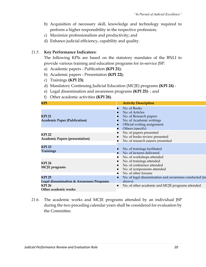- b) Acquisition of necessary skill, knowledge and technology required to perform a higher responsibility in the respective profession;
- c) Maximize professionalism and productivity; and
- d) Enhance judicial efficiency, capability and quality.

### 21.5. **Key Performance Indicators:**

The following KPIs are based on the statutory mandates of the BNLI to provide various training and education programs for in-service JSP:

- a) Academic papers Publication **(KPI 21)**;
- b) Academic papers Presentation **(KPI 22)**;
- c) Trainings **(KPI 23)**;
- d) Mandatory Continuing Judicial Education (MCJE) programs **(KPI 24)** -
- e) Legal dissemination and awareness programs **(KPI 25)** ; and
- f) Other academic activities **(KPI 26)**.

| KPI                                                       | <b>Activity Description</b>                                                                                          |
|-----------------------------------------------------------|----------------------------------------------------------------------------------------------------------------------|
| <b>KPI 21</b><br><b>Academic Paper (Publication)</b>      | No. of Books<br>No. of Articles<br>No. of Research papers<br>No. of Academic writings<br>Official writing assignment |
| <b>KPI 22</b><br><b>Academic Papers (presentation)</b>    | Others (specify)<br>No. of papers presented<br>No. of books review presented<br>No. of research papers presented     |
| <b>KPI 23</b><br><b>Trainings</b>                         | No. of trainings facilitated<br>No. of lectures delivered<br>No. of workshops attended                               |
| <b>KPI 24</b><br><b>MCJE</b> programs                     | No. of trainings attended<br>No. of conference attended<br>No. of symposiums attended<br>No. of other forums         |
| <b>KPI 25</b><br>Legal dissemination & Awareness Programs | No. of legal dissemination and awareness conducted (in<br>shows)                                                     |
| <b>KPI 26</b><br>Other academic works                     | No. of other academic and MCJE programs attended                                                                     |

21.6. The academic works and MCJE programs attended by an individual JSP during the two preceding calendar years shall be considered for evaluation by the Committee.